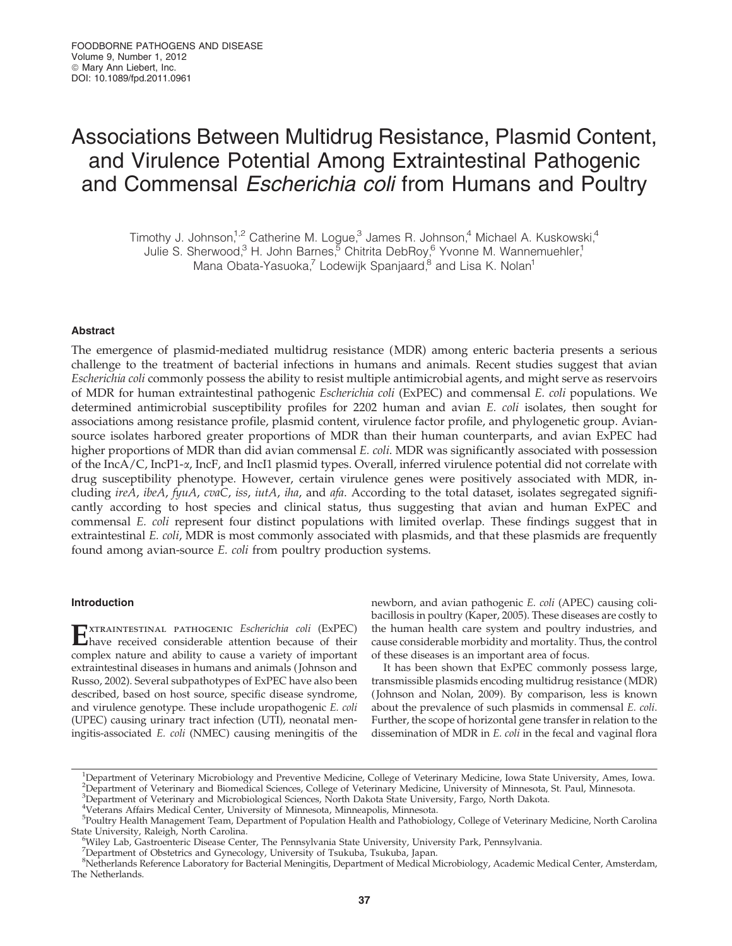# Associations Between Multidrug Resistance, Plasmid Content, and Virulence Potential Among Extraintestinal Pathogenic and Commensal Escherichia coli from Humans and Poultry

Timothy J. Johnson,<sup>1,2</sup> Catherine M. Logue,<sup>3</sup> James R. Johnson,<sup>4</sup> Michael A. Kuskowski,<sup>4</sup> Julie S. Sherwood,<sup>3</sup> H. John Barnes,<sup>5</sup> Chitrita DebRoy,<sup>6</sup> Yvonne M. Wannemuehler,<sup>1</sup> Mana Obata-Yasuoka,<sup>7</sup> Lodewijk Spanjaard,<sup>8</sup> and Lisa K. Nolan<sup>1</sup>

## Abstract

The emergence of plasmid-mediated multidrug resistance (MDR) among enteric bacteria presents a serious challenge to the treatment of bacterial infections in humans and animals. Recent studies suggest that avian Escherichia coli commonly possess the ability to resist multiple antimicrobial agents, and might serve as reservoirs of MDR for human extraintestinal pathogenic Escherichia coli (ExPEC) and commensal E. coli populations. We determined antimicrobial susceptibility profiles for 2202 human and avian E. coli isolates, then sought for associations among resistance profile, plasmid content, virulence factor profile, and phylogenetic group. Aviansource isolates harbored greater proportions of MDR than their human counterparts, and avian ExPEC had higher proportions of MDR than did avian commensal E. coli. MDR was significantly associated with possession of the IncA/C, IncP1-a, IncF, and IncI1 plasmid types. Overall, inferred virulence potential did not correlate with drug susceptibility phenotype. However, certain virulence genes were positively associated with MDR, including ireA, ibeA, fyuA, cvaC, iss, iutA, iha, and afa. According to the total dataset, isolates segregated significantly according to host species and clinical status, thus suggesting that avian and human ExPEC and commensal E. coli represent four distinct populations with limited overlap. These findings suggest that in extraintestinal E. coli, MDR is most commonly associated with plasmids, and that these plasmids are frequently found among avian-source E. coli from poultry production systems.

# Introduction

EXTRAINTESTINAL PATHOGENIC Escherichia coli (ExPEC)<br>have received considerable attention because of their complex nature and ability to cause a variety of important extraintestinal diseases in humans and animals ( Johnson and Russo, 2002). Several subpathotypes of ExPEC have also been described, based on host source, specific disease syndrome, and virulence genotype. These include uropathogenic E. coli (UPEC) causing urinary tract infection (UTI), neonatal meningitis-associated E. coli (NMEC) causing meningitis of the newborn, and avian pathogenic E. coli (APEC) causing colibacillosis in poultry (Kaper, 2005). These diseases are costly to the human health care system and poultry industries, and cause considerable morbidity and mortality. Thus, the control of these diseases is an important area of focus.

It has been shown that ExPEC commonly possess large, transmissible plasmids encoding multidrug resistance (MDR) ( Johnson and Nolan, 2009). By comparison, less is known about the prevalence of such plasmids in commensal E. coli. Further, the scope of horizontal gene transfer in relation to the dissemination of MDR in E. coli in the fecal and vaginal flora

4 Veterans Affairs Medical Center, University of Minnesota, Minneapolis, Minnesota.

<sup>&</sup>lt;sup>1</sup>Department of Veterinary Microbiology and Preventive Medicine, College of Veterinary Medicine, Iowa State University, Ames, Iowa. <sup>2</sup>Department of Veterinary and Biomedical Sciences, College of Veterinary Medicine, University of Minnesota, St. Paul, Minnesota.<br><sup>3</sup>Department of Veterinary and Microbiological Sciences, North Dakota State University, Fa

<sup>&</sup>lt;sup>5</sup>Poultry Health Management Team, Department of Population Health and Pathobiology, College of Veterinary Medicine, North Carolina State University, Raleigh, North Carolina. <sup>6</sup>

Wiley Lab, Gastroenteric Disease Center, The Pennsylvania State University, University Park, Pennsylvania.

<sup>&</sup>lt;sup>7</sup>Department of Obstetrics and Gynecology, University of Tsukuba, Tsukuba, Japan.

<sup>8</sup> Netherlands Reference Laboratory for Bacterial Meningitis, Department of Medical Microbiology, Academic Medical Center, Amsterdam, The Netherlands.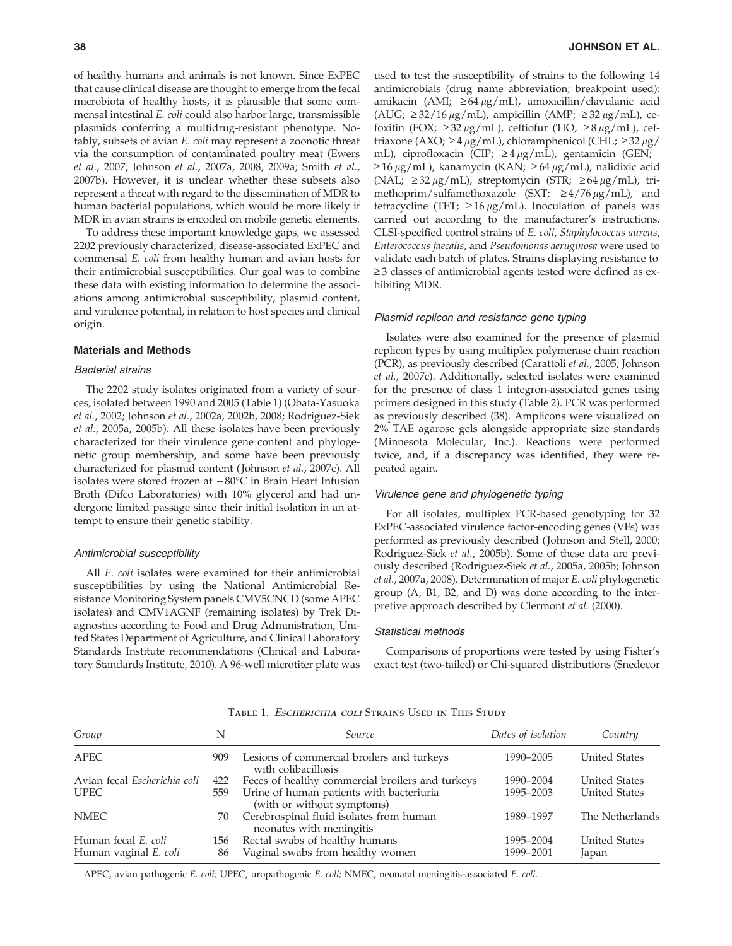of healthy humans and animals is not known. Since ExPEC that cause clinical disease are thought to emerge from the fecal microbiota of healthy hosts, it is plausible that some commensal intestinal E. coli could also harbor large, transmissible plasmids conferring a multidrug-resistant phenotype. Notably, subsets of avian E. coli may represent a zoonotic threat via the consumption of contaminated poultry meat (Ewers et al., 2007; Johnson et al., 2007a, 2008, 2009a; Smith et al., 2007b). However, it is unclear whether these subsets also represent a threat with regard to the dissemination of MDR to human bacterial populations, which would be more likely if MDR in avian strains is encoded on mobile genetic elements.

To address these important knowledge gaps, we assessed 2202 previously characterized, disease-associated ExPEC and commensal E. coli from healthy human and avian hosts for their antimicrobial susceptibilities. Our goal was to combine these data with existing information to determine the associations among antimicrobial susceptibility, plasmid content, and virulence potential, in relation to host species and clinical origin.

# Materials and Methods

#### Bacterial strains

The 2202 study isolates originated from a variety of sources, isolated between 1990 and 2005 (Table 1) (Obata-Yasuoka et al., 2002; Johnson et al., 2002a, 2002b, 2008; Rodriguez-Siek et al., 2005a, 2005b). All these isolates have been previously characterized for their virulence gene content and phylogenetic group membership, and some have been previously characterized for plasmid content ( Johnson et al., 2007c). All isolates were stored frozen at  $-80^{\circ}\mathrm{C}$  in Brain Heart Infusion Broth (Difco Laboratories) with 10% glycerol and had undergone limited passage since their initial isolation in an attempt to ensure their genetic stability.

#### Antimicrobial susceptibility

All *E. coli* isolates were examined for their antimicrobial susceptibilities by using the National Antimicrobial Resistance Monitoring System panels CMV5CNCD (some APEC isolates) and CMV1AGNF (remaining isolates) by Trek Diagnostics according to Food and Drug Administration, United States Department of Agriculture, and Clinical Laboratory Standards Institute recommendations (Clinical and Laboratory Standards Institute, 2010). A 96-well microtiter plate was used to test the susceptibility of strains to the following 14 antimicrobials (drug name abbreviation; breakpoint used): amikacin (AMI;  $\geq 64 \mu g/mL$ ), amoxicillin/clavulanic acid (AUG;  $\geq$ 32/16  $\mu$ g/mL), ampicillin (AMP;  $\geq$ 32  $\mu$ g/mL), cefoxitin (FOX;  $\geq$ 32  $\mu$ g/mL), ceftiofur (TIO;  $\geq$ 8  $\mu$ g/mL), ceftriaxone (AXO;  $\geq 4 \mu g/mL$ ), chloramphenicol (CHL;  $\geq 32 \mu g$ / mL), ciprofloxacin (CIP;  $\geq 4 \mu g/mL$ ), gentamicin (GEN;  $\geq 16 \mu$ g/mL), kanamycin (KAN;  $\geq 64 \mu$ g/mL), nalidixic acid (NAL;  $\geq$  32  $\mu$ g/mL), streptomycin (STR;  $\geq$  64  $\mu$ g/mL), trimethoprim/sulfamethoxazole (SXT;  $\geq 4/76 \mu g/mL$ ), and tetracycline (TET;  $\geq 16 \mu g/mL$ ). Inoculation of panels was carried out according to the manufacturer's instructions. CLSI-specified control strains of E. coli, Staphylococcus aureus, Enterococcus faecalis, and Pseudomonas aeruginosa were used to validate each batch of plates. Strains displaying resistance to  $\geq$  3 classes of antimicrobial agents tested were defined as exhibiting MDR.

#### Plasmid replicon and resistance gene typing

Isolates were also examined for the presence of plasmid replicon types by using multiplex polymerase chain reaction (PCR), as previously described (Carattoli et al., 2005; Johnson et al., 2007c). Additionally, selected isolates were examined for the presence of class 1 integron-associated genes using primers designed in this study (Table 2). PCR was performed as previously described (38). Amplicons were visualized on 2% TAE agarose gels alongside appropriate size standards (Minnesota Molecular, Inc.). Reactions were performed twice, and, if a discrepancy was identified, they were repeated again.

### Virulence gene and phylogenetic typing

For all isolates, multiplex PCR-based genotyping for 32 ExPEC-associated virulence factor-encoding genes (VFs) was performed as previously described ( Johnson and Stell, 2000; Rodriguez-Siek et al., 2005b). Some of these data are previously described (Rodriguez-Siek et al., 2005a, 2005b; Johnson et al., 2007a, 2008). Determination of major E. coli phylogenetic group (A, B1, B2, and D) was done according to the interpretive approach described by Clermont et al. (2000).

### Statistical methods

Comparisons of proportions were tested by using Fisher's exact test (two-tailed) or Chi-squared distributions (Snedecor

| Group                        | N   | Source                                                                 | Dates of isolation | Country              |
|------------------------------|-----|------------------------------------------------------------------------|--------------------|----------------------|
| <b>APEC</b>                  | 909 | Lesions of commercial broilers and turkeys<br>with colibacillosis      | 1990-2005          | <b>United States</b> |
| Avian fecal Escherichia coli | 422 | Feces of healthy commercial broilers and turkeys                       | 1990-2004          | <b>United States</b> |
| <b>UPEC</b>                  | 559 | Urine of human patients with bacteriuria<br>(with or without symptoms) | 1995-2003          | <b>United States</b> |
| <b>NMEC</b>                  | 70  | Cerebrospinal fluid isolates from human<br>neonates with meningitis    | 1989-1997          | The Netherlands      |
| Human fecal E. coli          | 156 | Rectal swabs of healthy humans                                         | 1995-2004          | <b>United States</b> |
| Human vaginal E. coli        | 86  | Vaginal swabs from healthy women                                       | 1999-2001          | Japan                |

# TABLE 1. ESCHERICHIA COLI STRAINS USED IN THIS STUDY

APEC, avian pathogenic E. coli; UPEC, uropathogenic E. coli; NMEC, neonatal meningitis-associated E. coli.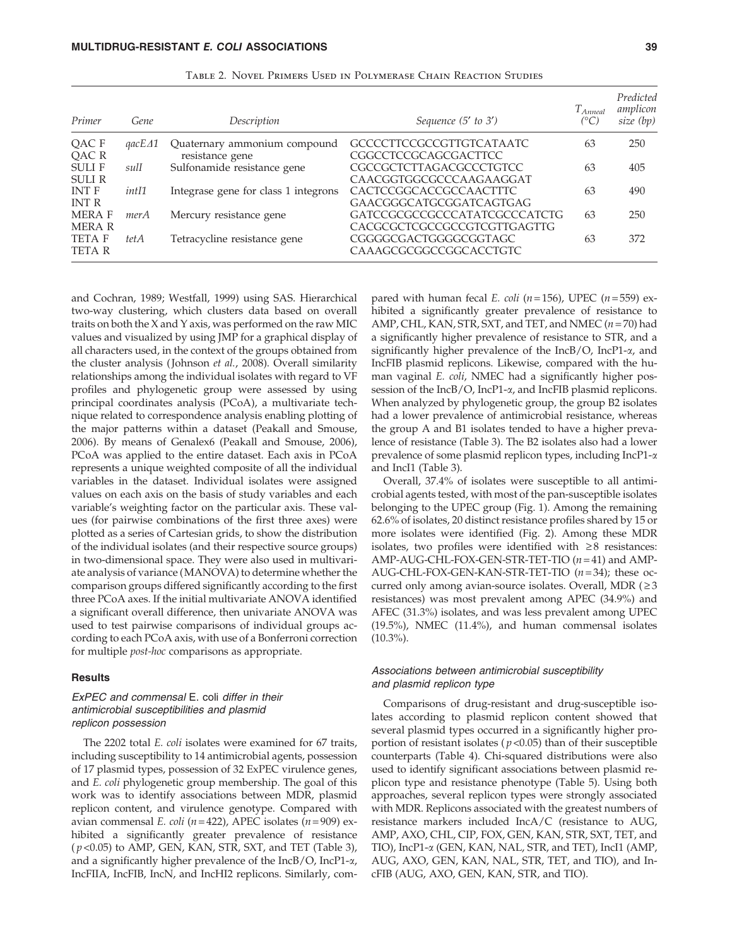| Primer                       | Gene                                 | Description                                     | Sequence (5' to 3')                                         | $T_{Anneal}$<br>$(^{\circ}C)$ | Predicted<br>amplicon<br>size $(bp)$ |
|------------------------------|--------------------------------------|-------------------------------------------------|-------------------------------------------------------------|-------------------------------|--------------------------------------|
| QAC F<br>QAC R               | $\mathfrak{gacE}\mathfrak{\Delta 1}$ | Quaternary ammonium compound<br>resistance gene | <b>GCCCCTTCCGCCGTTGTCATAATC</b><br>CGGCCTCCGCAGCGACTTCC     | 63                            | 250                                  |
| <b>SULIF</b><br>SULI R       | sulI                                 | Sulfonamide resistance gene                     | <b>CGCCGCTCTTAGACGCCCTGTCC</b><br>CAACGGTGGCGCCCAAGAAGGAT   | 63                            | 405                                  |
| <b>INT F</b><br><b>INT R</b> | <i>intI1</i>                         | Integrase gene for class 1 integrons            | CACTCCGGCACCGCCAACTTTC<br>GAACGGGCATGCGGATCAGTGAG           | 63                            | 490                                  |
| <b>MERAF</b><br>MERA R       | merA                                 | Mercury resistance gene                         | GATCCGCGCCGCCCATATCGCCCATCTG<br>CACGCGCTCGCCGCCGTCGTTGAGTTG | 63                            | 250                                  |
| TETA F<br><b>TETA R</b>      | tet A                                | Tetracycline resistance gene                    | CGGGGCGACTGGGGCGGTAGC<br>CAAAGCGCGGCCGGCACCTGTC             | 63                            | 372                                  |

Table 2. Novel Primers Used in Polymerase Chain Reaction Studies

and Cochran, 1989; Westfall, 1999) using SAS. Hierarchical two-way clustering, which clusters data based on overall traits on both the X and Y axis, was performed on the raw MIC values and visualized by using JMP for a graphical display of all characters used, in the context of the groups obtained from the cluster analysis (Johnson et al., 2008). Overall similarity relationships among the individual isolates with regard to VF profiles and phylogenetic group were assessed by using principal coordinates analysis (PCoA), a multivariate technique related to correspondence analysis enabling plotting of the major patterns within a dataset (Peakall and Smouse, 2006). By means of Genalex6 (Peakall and Smouse, 2006), PCoA was applied to the entire dataset. Each axis in PCoA represents a unique weighted composite of all the individual variables in the dataset. Individual isolates were assigned values on each axis on the basis of study variables and each variable's weighting factor on the particular axis. These values (for pairwise combinations of the first three axes) were plotted as a series of Cartesian grids, to show the distribution of the individual isolates (and their respective source groups) in two-dimensional space. They were also used in multivariate analysis of variance (MANOVA) to determine whether the comparison groups differed significantly according to the first three PCoA axes. If the initial multivariate ANOVA identified a significant overall difference, then univariate ANOVA was used to test pairwise comparisons of individual groups according to each PCoA axis, with use of a Bonferroni correction for multiple post-hoc comparisons as appropriate.

# **Results**

# ExPEC and commensal E. coli differ in their antimicrobial susceptibilities and plasmid replicon possession

The 2202 total E. coli isolates were examined for 67 traits, including susceptibility to 14 antimicrobial agents, possession of 17 plasmid types, possession of 32 ExPEC virulence genes, and E. coli phylogenetic group membership. The goal of this work was to identify associations between MDR, plasmid replicon content, and virulence genotype. Compared with avian commensal E. coli ( $n = 422$ ), APEC isolates ( $n = 909$ ) exhibited a significantly greater prevalence of resistance  $(p<0.05)$  to AMP, GEN, KAN, STR, SXT, and TET (Table 3), and a significantly higher prevalence of the IncB/O, IncP1-a, IncFIIA, IncFIB, IncN, and IncHI2 replicons. Similarly, com-

pared with human fecal *E. coli* ( $n = 156$ ), UPEC ( $n = 559$ ) exhibited a significantly greater prevalence of resistance to AMP, CHL, KAN, STR, SXT, and TET, and NMEC  $(n=70)$  had a significantly higher prevalence of resistance to STR, and a significantly higher prevalence of the IncB/O, IncP1-a, and IncFIB plasmid replicons. Likewise, compared with the human vaginal E. coli, NMEC had a significantly higher possession of the IncB/O, IncP1- $\alpha$ , and IncFIB plasmid replicons. When analyzed by phylogenetic group, the group B2 isolates had a lower prevalence of antimicrobial resistance, whereas the group A and B1 isolates tended to have a higher prevalence of resistance (Table 3). The B2 isolates also had a lower prevalence of some plasmid replicon types, including IncP1-a and IncI1 (Table 3).

Overall, 37.4% of isolates were susceptible to all antimicrobial agents tested, with most of the pan-susceptible isolates belonging to the UPEC group (Fig. 1). Among the remaining 62.6% of isolates, 20 distinct resistance profiles shared by 15 or more isolates were identified (Fig. 2). Among these MDR isolates, two profiles were identified with  $\geq 8$  resistances: AMP-AUG-CHL-FOX-GEN-STR-TET-TIO  $(n=41)$  and AMP-AUG-CHL-FOX-GEN-KAN-STR-TET-TIO  $(n=34)$ ; these occurred only among avian-source isolates. Overall, MDR  $(≥3)$ resistances) was most prevalent among APEC (34.9%) and AFEC (31.3%) isolates, and was less prevalent among UPEC (19.5%), NMEC (11.4%), and human commensal isolates  $(10.3\%)$ .

# Associations between antimicrobial susceptibility and plasmid replicon type

Comparisons of drug-resistant and drug-susceptible isolates according to plasmid replicon content showed that several plasmid types occurred in a significantly higher proportion of resistant isolates ( $p$ <0.05) than of their susceptible counterparts (Table 4). Chi-squared distributions were also used to identify significant associations between plasmid replicon type and resistance phenotype (Table 5). Using both approaches, several replicon types were strongly associated with MDR. Replicons associated with the greatest numbers of resistance markers included IncA/C (resistance to AUG, AMP, AXO, CHL, CIP, FOX, GEN, KAN, STR, SXT, TET, and TIO), IncP1-a (GEN, KAN, NAL, STR, and TET), IncI1 (AMP, AUG, AXO, GEN, KAN, NAL, STR, TET, and TIO), and IncFIB (AUG, AXO, GEN, KAN, STR, and TIO).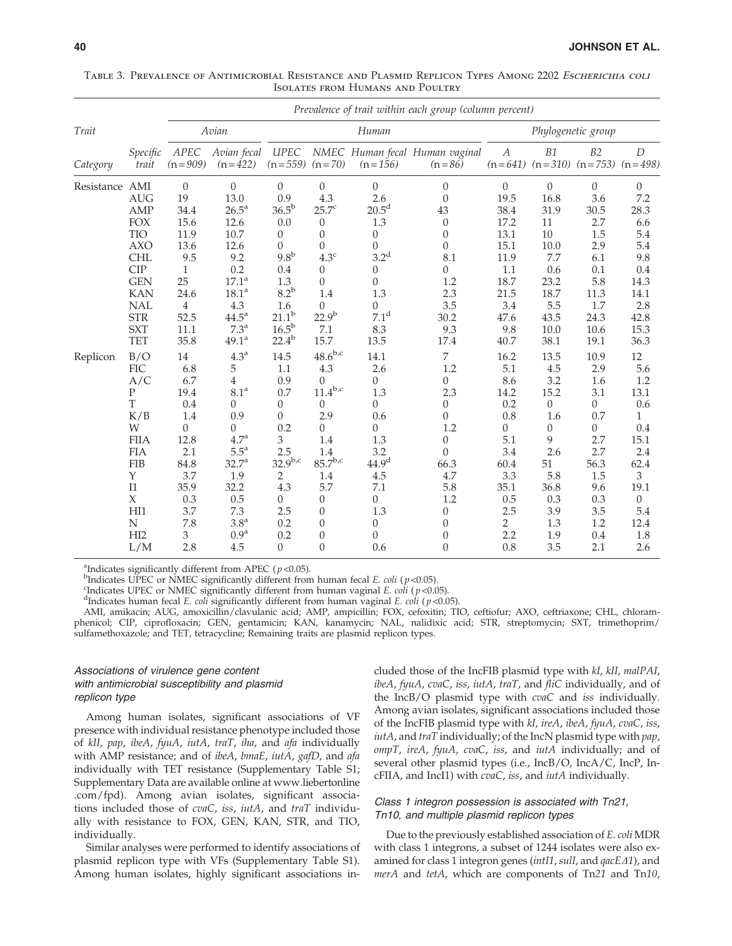|                |                                                                                                                                                                         |                                                                                                                                     |                                                                                                                                                                                                                         |                                                                                                                                                                                |                                                                                                                                                                                 |                                                                                                                                                                                                      | Prevalence of trait within each group (column percent)                                                                                                                                                |                                                                                                                                                 |                                                                                                                                |                                                                                                                                               |                                                                                                                   |
|----------------|-------------------------------------------------------------------------------------------------------------------------------------------------------------------------|-------------------------------------------------------------------------------------------------------------------------------------|-------------------------------------------------------------------------------------------------------------------------------------------------------------------------------------------------------------------------|--------------------------------------------------------------------------------------------------------------------------------------------------------------------------------|---------------------------------------------------------------------------------------------------------------------------------------------------------------------------------|------------------------------------------------------------------------------------------------------------------------------------------------------------------------------------------------------|-------------------------------------------------------------------------------------------------------------------------------------------------------------------------------------------------------|-------------------------------------------------------------------------------------------------------------------------------------------------|--------------------------------------------------------------------------------------------------------------------------------|-----------------------------------------------------------------------------------------------------------------------------------------------|-------------------------------------------------------------------------------------------------------------------|
| Trait          |                                                                                                                                                                         |                                                                                                                                     | Avian                                                                                                                                                                                                                   |                                                                                                                                                                                |                                                                                                                                                                                 | Human                                                                                                                                                                                                |                                                                                                                                                                                                       |                                                                                                                                                 |                                                                                                                                | Phylogenetic group                                                                                                                            |                                                                                                                   |
| Category       | Specific<br>trait                                                                                                                                                       | APEC<br>$(n = 909)$                                                                                                                 | Avian fecal<br>$(n=422)$                                                                                                                                                                                                | <b>UPEC</b><br>$(n=559)$ $(n=70)$                                                                                                                                              |                                                                                                                                                                                 | $(n=156)$                                                                                                                                                                                            | NMEC Human fecal Human vaginal<br>$(n = 86)$                                                                                                                                                          | $\boldsymbol{A}$                                                                                                                                | B1<br>$(n=641)$ $(n=310)$ $(n=753)$ $(n=498)$                                                                                  | B2                                                                                                                                            | D                                                                                                                 |
| Resistance AMI | <b>AUG</b><br>AMP<br><b>FOX</b><br>TIO<br><b>AXO</b><br><b>CHL</b><br><b>CIP</b><br><b>GEN</b><br><b>KAN</b><br><b>NAL</b><br>$\operatorname{STR}$<br><b>SXT</b><br>TET | $\boldsymbol{0}$<br>19<br>34.4<br>15.6<br>11.9<br>13.6<br>9.5<br>1<br>25<br>24.6<br>$\overline{4}$<br>52.5<br>11.1<br>35.8          | $\mathbf{0}$<br>13.0<br>$26.5^a$<br>12.6<br>10.7<br>12.6<br>9.2<br>0.2<br>$17.1^{\rm a}$<br>18.1 <sup>a</sup><br>4.3<br>$44.5^{\circ}$<br>7.3 <sup>a</sup><br>49.1 <sup>a</sup>                                         | $\overline{0}$<br>0.9<br>$36.5^{\rm b}$<br>0.0<br>$\theta$<br>$\theta$<br>9.8 <sup>b</sup><br>0.4<br>1.3<br>$8.2^{\rm b}$<br>1.6<br>$21.1^{b}$<br>$16.5^{\rm b}$<br>$22.4^{b}$ | $\mathbf{0}$<br>4.3<br>$25.7^{\circ}$<br>0<br>$\theta$<br>$\theta$<br>$4.3^{\circ}$<br>0<br>$\theta$<br>1.4<br>$\Omega$<br>$22.9^{b}$<br>$7.1\,$<br>15.7                        | $\overline{0}$<br>2.6<br>$20.5^d$<br>1.3<br>$\boldsymbol{0}$<br>$\overline{0}$<br>3.2 <sup>d</sup><br>$\boldsymbol{0}$<br>$\overline{0}$<br>1.3<br>$\overline{0}$<br>7.1 <sup>d</sup><br>8.3<br>13.5 | $\mathbf{0}$<br>$\mathbf{0}$<br>43<br>$\theta$<br>$\mathbf{0}$<br>$\theta$<br>8.1<br>$\boldsymbol{0}$<br>1.2<br>2.3<br>3.5<br>30.2<br>9.3<br>17.4                                                     | $\Omega$<br>19.5<br>38.4<br>17.2<br>13.1<br>15.1<br>11.9<br>1.1<br>18.7<br>21.5<br>3.4<br>47.6<br>9.8<br>40.7                                   | $\mathbf{0}$<br>16.8<br>31.9<br>11<br>10<br>10.0<br>7.7<br>0.6<br>23.2<br>18.7<br>5.5<br>43.5<br>10.0<br>38.1                  | $\mathbf{0}$<br>3.6<br>30.5<br>2.7<br>1.5<br>2.9<br>6.1<br>0.1<br>5.8<br>11.3<br>1.7<br>24.3<br>10.6<br>19.1                                  | $\boldsymbol{0}$<br>7.2<br>28.3<br>6.6<br>5.4<br>5.4<br>9.8<br>0.4<br>14.3<br>14.1<br>2.8<br>42.8<br>15.3<br>36.3 |
| Replicon       | B/O<br><b>FIC</b><br>A/C<br>P<br>T<br>K/B<br>W<br><b>FIIA</b><br><b>FIA</b><br><b>FIB</b><br>Y<br>I1<br>$\chi$<br>HII<br>N<br>HI <sub>2</sub><br>L/M                    | $14\,$<br>6.8<br>6.7<br>19.4<br>0.4<br>1.4<br>$\overline{0}$<br>12.8<br>2.1<br>84.8<br>3.7<br>35.9<br>0.3<br>3.7<br>7.8<br>3<br>2.8 | 4.3 <sup>a</sup><br>5<br>4<br>8.1 <sup>a</sup><br>0<br>0.9<br>$\overline{0}$<br>4.7 <sup>a</sup><br>$5.5^{\mathrm{a}}$<br>32.7 <sup>a</sup><br>1.9<br>32.2<br>0.5<br>7.3<br>3.8 <sup>a</sup><br>0.9 <sup>a</sup><br>4.5 | 14.5<br>1.1<br>0.9<br>0.7<br>$\boldsymbol{0}$<br>$\boldsymbol{0}$<br>0.2<br>3<br>2.5<br>$32.9^{b,c}$<br>2<br>4.3<br>$\overline{0}$<br>2.5<br>0.2<br>0.2<br>$\boldsymbol{0}$    | $48.6^{b,c}$<br>4.3<br>$\theta$<br>$11.4^{b,c}$<br>0<br>2.9<br>$\overline{0}$<br>1.4<br>1.4<br>$85.7^{b,c}$<br>1.4<br>5.7<br>0<br>0<br>$\theta$<br>$\boldsymbol{0}$<br>$\theta$ | 14.1<br>2.6<br>$\boldsymbol{0}$<br>1.3<br>$\boldsymbol{0}$<br>0.6<br>$\overline{0}$<br>1.3<br>3.2<br>44.9 <sup>d</sup><br>4.5<br>7.1<br>$\overline{0}$<br>1.3<br>0<br>$\boldsymbol{0}$<br>0.6        | 7<br>1.2<br>$\theta$<br>2.3<br>$\boldsymbol{0}$<br>$\boldsymbol{0}$<br>1.2<br>$\boldsymbol{0}$<br>$\theta$<br>66.3<br>4.7<br>5.8<br>1.2<br>$\boldsymbol{0}$<br>$\theta$<br>$\theta$<br>$\overline{0}$ | 16.2<br>5.1<br>8.6<br>14.2<br>0.2<br>0.8<br>$\boldsymbol{0}$<br>5.1<br>3.4<br>60.4<br>3.3<br>35.1<br>0.5<br>2.5<br>$\overline{2}$<br>2.2<br>0.8 | 13.5<br>4.5<br>3.2<br>15.2<br>$\boldsymbol{0}$<br>1.6<br>0<br>9<br>2.6<br>51<br>5.8<br>36.8<br>0.3<br>3.9<br>1.3<br>1.9<br>3.5 | 10.9<br>2.9<br>1.6<br>3.1<br>$\boldsymbol{0}$<br>0.7<br>$\overline{0}$<br>2.7<br>2.7<br>56.3<br>1.5<br>9.6<br>0.3<br>3.5<br>1.2<br>0.4<br>2.1 | 12<br>5.6<br>1.2<br>13.1<br>0.6<br>1<br>0.4<br>15.1<br>2.4<br>62.4<br>3<br>19.1<br>0<br>5.4<br>12.4<br>1.8<br>2.6 |

Table 3. Prevalence of Antimicrobial Resistance and Plasmid Replicon Types Among 2202 Escherichia coli Isolates from Humans and Poultry

<sup>a</sup>Indicates significantly different from APEC ( $p$  <0.05).

<sup>b</sup>Indicates UPEC or NMEC significantly different from human fecal E. coli ( $p$  <0.05).

<sup>c</sup>Indicates UPEC or NMEC significantly different from human vaginal E. coli ( $p$  <0.05).

<sup>d</sup>Indicates human fecal *E. coli* significantly different from human vaginal *E. coli* ( $p$  <0.05).

AMI, amikacin; AUG, amoxicillin/clavulanic acid; AMP, ampicillin; FOX, cefoxitin; TIO, ceftiofur; AXO, ceftriaxone; CHL, chloramphenicol; CIP, ciprofloxacin; GEN, gentamicin; KAN, kanamycin; NAL, nalidixic acid; STR, streptomycin; SXT, trimethoprim/ sulfamethoxazole; and TET, tetracycline; Remaining traits are plasmid replicon types.

# Associations of virulence gene content with antimicrobial susceptibility and plasmid replicon type

Among human isolates, significant associations of VF presence with individual resistance phenotype included those of kII, pap, ibeA, fyuA, iutA, traT, iha, and afa individually with AMP resistance; and of ibeA, bmaE, iutA, gafD, and afa individually with TET resistance (Supplementary Table S1; Supplementary Data are available online at www.liebertonline .com/fpd). Among avian isolates, significant associations included those of cvaC, iss, iutA, and traT individually with resistance to FOX, GEN, KAN, STR, and TIO, individually.

Similar analyses were performed to identify associations of plasmid replicon type with VFs (Supplementary Table S1). Among human isolates, highly significant associations included those of the IncFIB plasmid type with kI, kII, malPAI, ibeA, fyuA, cvaC, iss, iutA, traT, and fliC individually, and of the IncB/O plasmid type with cvaC and iss individually. Among avian isolates, significant associations included those of the IncFIB plasmid type with kI, ireA, ibeA, fyuA, cvaC, iss,  $iutA$ , and  $traT$  individually; of the IncN plasmid type with  $pap$ , ompT, ireA, fyuA, cvaC, iss, and iutA individually; and of several other plasmid types (i.e., IncB/O, IncA/C, IncP, IncFIIA, and IncI1) with cvaC, iss, and iutA individually.

# Class 1 integron possession is associated with Tn21, Tn10, and multiple plasmid replicon types

Due to the previously established association of E. coli MDR with class 1 integrons, a subset of 1244 isolates were also examined for class 1 integron genes (intI1, sulI, and  $qacE\Delta1$ ), and merA and tetA, which are components of Tn21 and Tn10,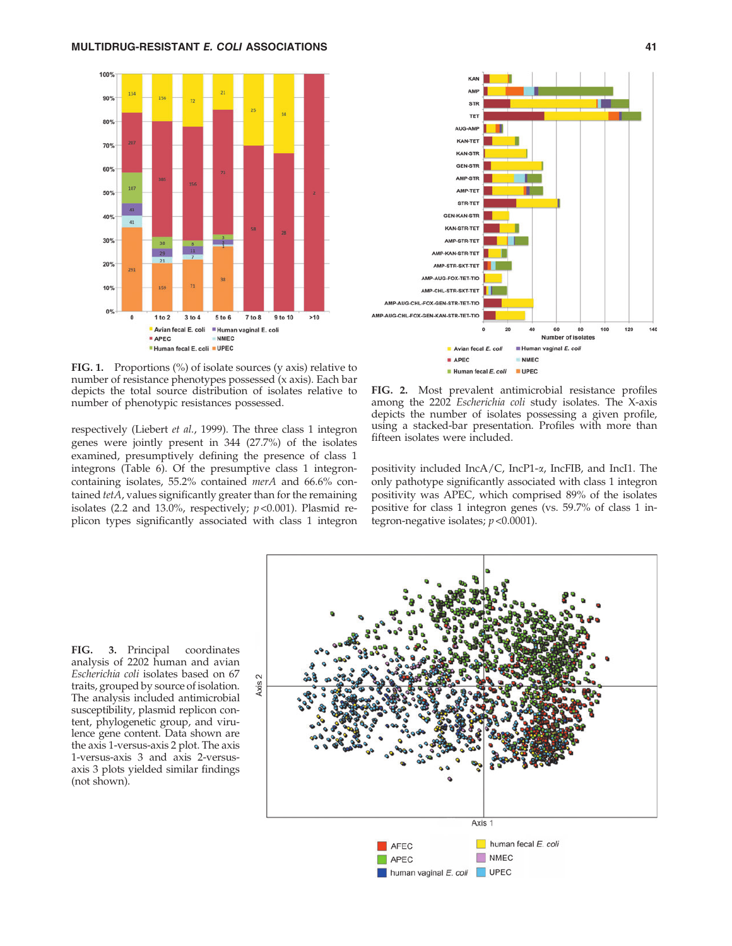

FIG. 1. Proportions (%) of isolate sources (y axis) relative to number of resistance phenotypes possessed (x axis). Each bar depicts the total source distribution of isolates relative to number of phenotypic resistances possessed.

respectively (Liebert et al., 1999). The three class 1 integron genes were jointly present in 344 (27.7%) of the isolates examined, presumptively defining the presence of class 1 integrons (Table 6). Of the presumptive class 1 integroncontaining isolates, 55.2% contained merA and 66.6% contained tetA, values significantly greater than for the remaining isolates (2.2 and 13.0%, respectively;  $p < 0.001$ ). Plasmid replicon types significantly associated with class 1 integron



FIG. 2. Most prevalent antimicrobial resistance profiles among the 2202 Escherichia coli study isolates. The X-axis depicts the number of isolates possessing a given profile, using a stacked-bar presentation. Profiles with more than fifteen isolates were included.

positivity included IncA/C, IncP1-a, IncFIB, and IncI1. The only pathotype significantly associated with class 1 integron positivity was APEC, which comprised 89% of the isolates positive for class 1 integron genes (vs. 59.7% of class 1 integron-negative isolates;  $p < 0.0001$ ).

FIG. 3. Principal coordinates analysis of 2202 human and avian Escherichia coli isolates based on 67 traits, grouped by source of isolation. The analysis included antimicrobial susceptibility, plasmid replicon content, phylogenetic group, and virulence gene content. Data shown are the axis 1-versus-axis 2 plot. The axis 1-versus-axis 3 and axis 2-versusaxis 3 plots yielded similar findings (not shown).

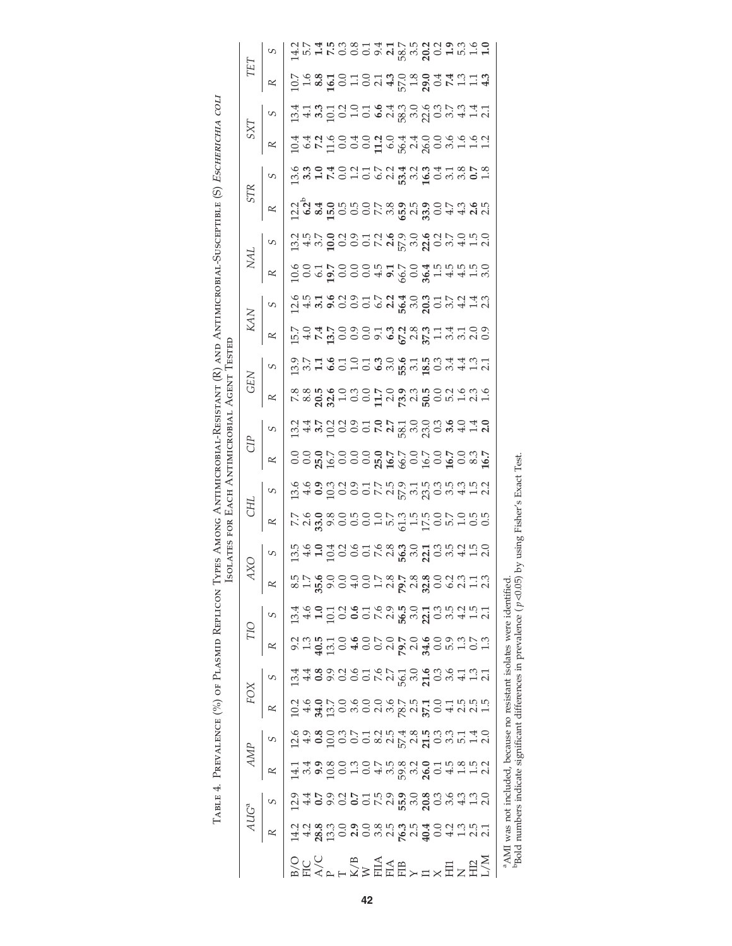|                                |                                                                                                                                                                                                                                 |                                                                                                                                                                                                                                                                                                                                                                                                                                                                                                                    |                                                                                                                                                                                                                                  | TABLE 4. PREVALENCE (%) OF PLASMID REPLICON                                                                                                                                                                                                                                                                                                                                                                                                                     |                                                                                      |                                                                              | Ĥ                                                                                                              | <b>SOLATES</b>                                                             | FOR | EACH                                                                                                                                                                                                                                                                                                                                                                                                                            |                                                          | ANTIMICROBIAI                                                                                                                                                                                                                                                          | (PES AMONG ANTIMICROBIAL-RESISTANT (R) AND ANTIMICROBIAL<br><b>AGENT</b> | LESTED                                                                                                                                                                                                                          |                                                                          |                                                                                                                                                                                                                                  |                             | <b>ETHLLED SORE</b>                                 | $\odot$                                                                                                                       |                                                                                                                                                                                                                                  | <b>Е</b> СНЕКІСНІА                                                                 | COLI                                                                                       |     |   |
|--------------------------------|---------------------------------------------------------------------------------------------------------------------------------------------------------------------------------------------------------------------------------|--------------------------------------------------------------------------------------------------------------------------------------------------------------------------------------------------------------------------------------------------------------------------------------------------------------------------------------------------------------------------------------------------------------------------------------------------------------------------------------------------------------------|----------------------------------------------------------------------------------------------------------------------------------------------------------------------------------------------------------------------------------|-----------------------------------------------------------------------------------------------------------------------------------------------------------------------------------------------------------------------------------------------------------------------------------------------------------------------------------------------------------------------------------------------------------------------------------------------------------------|--------------------------------------------------------------------------------------|------------------------------------------------------------------------------|----------------------------------------------------------------------------------------------------------------|----------------------------------------------------------------------------|-----|---------------------------------------------------------------------------------------------------------------------------------------------------------------------------------------------------------------------------------------------------------------------------------------------------------------------------------------------------------------------------------------------------------------------------------|----------------------------------------------------------|------------------------------------------------------------------------------------------------------------------------------------------------------------------------------------------------------------------------------------------------------------------------|--------------------------------------------------------------------------|---------------------------------------------------------------------------------------------------------------------------------------------------------------------------------------------------------------------------------|--------------------------------------------------------------------------|----------------------------------------------------------------------------------------------------------------------------------------------------------------------------------------------------------------------------------|-----------------------------|-----------------------------------------------------|-------------------------------------------------------------------------------------------------------------------------------|----------------------------------------------------------------------------------------------------------------------------------------------------------------------------------------------------------------------------------|------------------------------------------------------------------------------------|--------------------------------------------------------------------------------------------|-----|---|
|                                |                                                                                                                                                                                                                                 |                                                                                                                                                                                                                                                                                                                                                                                                                                                                                                                    |                                                                                                                                                                                                                                  | FOX                                                                                                                                                                                                                                                                                                                                                                                                                                                             |                                                                                      |                                                                              |                                                                                                                |                                                                            | HC  |                                                                                                                                                                                                                                                                                                                                                                                                                                 |                                                          |                                                                                                                                                                                                                                                                        | <b>GEN</b>                                                               |                                                                                                                                                                                                                                 | KAN                                                                      |                                                                                                                                                                                                                                  | NA.                         |                                                     | STR                                                                                                                           |                                                                                                                                                                                                                                  | LXS                                                                                |                                                                                            | TET |   |
|                                |                                                                                                                                                                                                                                 | R                                                                                                                                                                                                                                                                                                                                                                                                                                                                                                                  | S                                                                                                                                                                                                                                |                                                                                                                                                                                                                                                                                                                                                                                                                                                                 |                                                                                      | R                                                                            | R                                                                                                              | S                                                                          | R   | S                                                                                                                                                                                                                                                                                                                                                                                                                               | R                                                        | S                                                                                                                                                                                                                                                                      | R                                                                        | S                                                                                                                                                                                                                               | R                                                                        |                                                                                                                                                                                                                                  | R                           | S                                                   | R                                                                                                                             | S                                                                                                                                                                                                                                | R                                                                                  | S                                                                                          | R   | S |
|                                |                                                                                                                                                                                                                                 |                                                                                                                                                                                                                                                                                                                                                                                                                                                                                                                    |                                                                                                                                                                                                                                  |                                                                                                                                                                                                                                                                                                                                                                                                                                                                 |                                                                                      |                                                                              |                                                                                                                |                                                                            |     |                                                                                                                                                                                                                                                                                                                                                                                                                                 |                                                          |                                                                                                                                                                                                                                                                        |                                                                          |                                                                                                                                                                                                                                 |                                                                          |                                                                                                                                                                                                                                  |                             |                                                     |                                                                                                                               |                                                                                                                                                                                                                                  |                                                                                    |                                                                                            |     |   |
| BEAPFX》HEHY HXHZHZ<br>OUV RAMA | ciano concerta de contra contra de contra de contra de contra de contra de contra de contra de contra de contr<br>Contra de contra de contra de contra de contra de contra de contra de contra de contra de contra de contra de | $\begin{array}{l} \Xi \overset{d}{\sim} \omega \overset{d}{\sim} \omega \overset{d}{\sim} \zeta \overset{d}{\sim} \omega \overset{d}{\sim} \omega \overset{d}{\sim} \omega \overset{d}{\sim} \omega \overset{d}{\sim} \omega \overset{d}{\sim} \omega \overset{d}{\sim} \omega \overset{d}{\sim} \omega \overset{d}{\sim} \omega \overset{d}{\sim} \omega \overset{d}{\sim} \omega \overset{d}{\sim} \omega \overset{d}{\sim} \omega \overset{d}{\sim} \omega \overset{d}{\sim} \omega \overset{d}{\sim} \omega \$ | consideration de la considerazione della considerazione della considerazione della considerazione della consid<br>Considerazione della considerazione della considerazione della considerazione della considerazione della consi | $\begin{array}{l} \mathcal{Q} \mathcal{A} \mathcal{A} \mathcal{B} \mathcal{A} \mathcal{C} \mathcal{A} \mathcal{C} \mathcal{A} \mathcal{C} \mathcal{A} \mathcal{C} \mathcal{C} \mathcal{C} \mathcal{C} \mathcal{C} \mathcal{C} \mathcal{C} \mathcal{C} \mathcal{C} \mathcal{C} \mathcal{C} \mathcal{C} \mathcal{C} \mathcal{C} \mathcal{C} \mathcal{C} \mathcal{C} \mathcal{C} \mathcal{C} \mathcal{C} \mathcal{C} \mathcal{C} \mathcal{C} \mathcal{C} \mathcal$ | d 4 8 9 9 9 9 5 6 7 9 9 9 9 9 9 4 5 9 1<br>A 4 8 9 9 9 9 5 6 7 9 9 9 9 9 9 9 9 1 9 1 | o 1 g m d 4 0 0 1 0 1 0 4 0 0 1 1 0 1<br>0 1 g m d 4 0 0 1 0 1 4 0 0 1 1 0 1 |                                                                                                                | n g d d d g d g d w g d d g b d d d d<br>m d d d d d d d w g g d d m d d d |     | $\begin{array}{l} \tilde{u} \\ \tilde{u} \\ \tilde{u} \\ \tilde{v} \\ \tilde{v} \\ \tilde{v} \\ \tilde{v} \\ \tilde{v} \\ \tilde{v} \\ \tilde{v} \\ \tilde{v} \\ \tilde{v} \\ \tilde{v} \\ \tilde{v} \\ \tilde{v} \\ \tilde{v} \\ \tilde{v} \\ \tilde{v} \\ \tilde{v} \\ \tilde{v} \\ \tilde{v} \\ \tilde{v} \\ \tilde{v} \\ \tilde{v} \\ \tilde{v} \\ \tilde{v} \\ \tilde{v} \\ \tilde{v} \\ \tilde{v} \\ \tilde{v} \\ \tilde$ | ី<br>១១ <b>១</b> ក្នុង១១១ <b>១</b> ក្នុង១១១ ក្នុង ១១ និង | $\begin{array}{l} \n 24.47 & 24.50 & 24.50 & 24.50 & 24.50 & 24.50 & 24.50 & 24.50 & 24.50 & 24.50 & 24.50 & 24.50 & 24.50 & 24.50 & 24.50 & 24.50 & 24.50 & 24.50 & 24.50 & 24.50 & 24.50 & 24.50 & 24.50 & 24.50 & 24.50 & 24.50 & 24.50 & 24.50 & 24.50 & 24.50 & $ |                                                                          | condition de la condita de la condita del condita del condita del contro del condita del condita del condita d<br>Si poste del condita de la condita del condita del condita del condita del condita del condita del condita de | 5 4 5 6 6 6 7 6 7 8 9 7 7 8 9 0<br>5 4 5 6 6 6 7 8 9 7 8 7 8 7 8 7 8 9 0 | cia de coco de de coco da de coco de de coco de de coco de de coco de de coco de de coco de de coco de de coco<br>Cia de coco de de coco de de coco de coco de coco de coco de coco de coco de coco de coco de coco de coco de c | cod pooc da o go gruppia da | ciano do condivado e ario<br>Gando condivado e ario | ျံ<br>ပုံမှုန်းခဲ့ ကဲ့ ကဲ့ ဝဲ ၄ ထိ ဆို ကို ဓာတ် ၄ ထိ ဆို တို့<br>ပုံမှုန်းခဲ့ ကဲ့ ကဲ့ ဝဲ ၁ ၉ ထိ ဆို ထိ ဆို တို့ ဝဲ ဆို ဆို ရာ | compared compared compared compared compared compared compared compared compared compared compared compared co<br>Compared compared compared compared compared compared compared compared compared compared compared compared co | d q y d o d o d d d d d d d d d d d d<br>d q y d o o d d d d d d d d d d d d d d d | 1<br>12 4 5 0 0 1 0 5 0 6 0 6 7 0 6 7 0 7 4 1 0<br>1 4 5 0 1 0 1 0 6 1 8 7 0 9 0 1 0 1 1 1 |     |   |
|                                |                                                                                                                                                                                                                                 |                                                                                                                                                                                                                                                                                                                                                                                                                                                                                                                    |                                                                                                                                                                                                                                  |                                                                                                                                                                                                                                                                                                                                                                                                                                                                 |                                                                                      |                                                                              |                                                                                                                |                                                                            |     |                                                                                                                                                                                                                                                                                                                                                                                                                                 |                                                          |                                                                                                                                                                                                                                                                        |                                                                          |                                                                                                                                                                                                                                 |                                                                          |                                                                                                                                                                                                                                  |                             |                                                     |                                                                                                                               |                                                                                                                                                                                                                                  |                                                                                    |                                                                                            |     |   |
|                                |                                                                                                                                                                                                                                 |                                                                                                                                                                                                                                                                                                                                                                                                                                                                                                                    |                                                                                                                                                                                                                                  |                                                                                                                                                                                                                                                                                                                                                                                                                                                                 |                                                                                      |                                                                              |                                                                                                                |                                                                            |     |                                                                                                                                                                                                                                                                                                                                                                                                                                 |                                                          |                                                                                                                                                                                                                                                                        |                                                                          |                                                                                                                                                                                                                                 |                                                                          |                                                                                                                                                                                                                                  |                             |                                                     |                                                                                                                               |                                                                                                                                                                                                                                  |                                                                                    |                                                                                            |     |   |
|                                |                                                                                                                                                                                                                                 |                                                                                                                                                                                                                                                                                                                                                                                                                                                                                                                    |                                                                                                                                                                                                                                  |                                                                                                                                                                                                                                                                                                                                                                                                                                                                 |                                                                                      |                                                                              |                                                                                                                |                                                                            |     |                                                                                                                                                                                                                                                                                                                                                                                                                                 |                                                          |                                                                                                                                                                                                                                                                        |                                                                          |                                                                                                                                                                                                                                 |                                                                          |                                                                                                                                                                                                                                  |                             |                                                     |                                                                                                                               |                                                                                                                                                                                                                                  |                                                                                    |                                                                                            |     |   |
|                                |                                                                                                                                                                                                                                 |                                                                                                                                                                                                                                                                                                                                                                                                                                                                                                                    |                                                                                                                                                                                                                                  |                                                                                                                                                                                                                                                                                                                                                                                                                                                                 |                                                                                      |                                                                              |                                                                                                                |                                                                            |     |                                                                                                                                                                                                                                                                                                                                                                                                                                 |                                                          |                                                                                                                                                                                                                                                                        |                                                                          |                                                                                                                                                                                                                                 |                                                                          |                                                                                                                                                                                                                                  |                             |                                                     |                                                                                                                               |                                                                                                                                                                                                                                  |                                                                                    |                                                                                            |     |   |
|                                |                                                                                                                                                                                                                                 |                                                                                                                                                                                                                                                                                                                                                                                                                                                                                                                    |                                                                                                                                                                                                                                  |                                                                                                                                                                                                                                                                                                                                                                                                                                                                 |                                                                                      |                                                                              |                                                                                                                |                                                                            |     |                                                                                                                                                                                                                                                                                                                                                                                                                                 |                                                          |                                                                                                                                                                                                                                                                        |                                                                          |                                                                                                                                                                                                                                 |                                                                          |                                                                                                                                                                                                                                  |                             |                                                     |                                                                                                                               |                                                                                                                                                                                                                                  |                                                                                    |                                                                                            |     |   |
|                                |                                                                                                                                                                                                                                 |                                                                                                                                                                                                                                                                                                                                                                                                                                                                                                                    |                                                                                                                                                                                                                                  |                                                                                                                                                                                                                                                                                                                                                                                                                                                                 |                                                                                      |                                                                              |                                                                                                                |                                                                            |     |                                                                                                                                                                                                                                                                                                                                                                                                                                 |                                                          |                                                                                                                                                                                                                                                                        |                                                                          |                                                                                                                                                                                                                                 |                                                                          |                                                                                                                                                                                                                                  |                             |                                                     |                                                                                                                               |                                                                                                                                                                                                                                  |                                                                                    |                                                                                            |     |   |
|                                |                                                                                                                                                                                                                                 |                                                                                                                                                                                                                                                                                                                                                                                                                                                                                                                    |                                                                                                                                                                                                                                  |                                                                                                                                                                                                                                                                                                                                                                                                                                                                 |                                                                                      |                                                                              |                                                                                                                |                                                                            |     |                                                                                                                                                                                                                                                                                                                                                                                                                                 |                                                          |                                                                                                                                                                                                                                                                        |                                                                          |                                                                                                                                                                                                                                 |                                                                          |                                                                                                                                                                                                                                  |                             |                                                     |                                                                                                                               |                                                                                                                                                                                                                                  |                                                                                    |                                                                                            |     |   |
|                                |                                                                                                                                                                                                                                 |                                                                                                                                                                                                                                                                                                                                                                                                                                                                                                                    |                                                                                                                                                                                                                                  |                                                                                                                                                                                                                                                                                                                                                                                                                                                                 |                                                                                      |                                                                              |                                                                                                                |                                                                            |     |                                                                                                                                                                                                                                                                                                                                                                                                                                 |                                                          |                                                                                                                                                                                                                                                                        |                                                                          |                                                                                                                                                                                                                                 |                                                                          |                                                                                                                                                                                                                                  |                             |                                                     |                                                                                                                               |                                                                                                                                                                                                                                  |                                                                                    |                                                                                            |     |   |
|                                |                                                                                                                                                                                                                                 |                                                                                                                                                                                                                                                                                                                                                                                                                                                                                                                    |                                                                                                                                                                                                                                  |                                                                                                                                                                                                                                                                                                                                                                                                                                                                 |                                                                                      |                                                                              |                                                                                                                |                                                                            |     |                                                                                                                                                                                                                                                                                                                                                                                                                                 |                                                          |                                                                                                                                                                                                                                                                        |                                                                          |                                                                                                                                                                                                                                 |                                                                          |                                                                                                                                                                                                                                  |                             |                                                     |                                                                                                                               |                                                                                                                                                                                                                                  |                                                                                    |                                                                                            |     |   |
|                                |                                                                                                                                                                                                                                 |                                                                                                                                                                                                                                                                                                                                                                                                                                                                                                                    |                                                                                                                                                                                                                                  |                                                                                                                                                                                                                                                                                                                                                                                                                                                                 |                                                                                      |                                                                              |                                                                                                                |                                                                            |     |                                                                                                                                                                                                                                                                                                                                                                                                                                 |                                                          |                                                                                                                                                                                                                                                                        |                                                                          |                                                                                                                                                                                                                                 |                                                                          |                                                                                                                                                                                                                                  |                             |                                                     |                                                                                                                               |                                                                                                                                                                                                                                  |                                                                                    |                                                                                            |     |   |
|                                |                                                                                                                                                                                                                                 |                                                                                                                                                                                                                                                                                                                                                                                                                                                                                                                    |                                                                                                                                                                                                                                  |                                                                                                                                                                                                                                                                                                                                                                                                                                                                 |                                                                                      |                                                                              |                                                                                                                |                                                                            |     |                                                                                                                                                                                                                                                                                                                                                                                                                                 |                                                          |                                                                                                                                                                                                                                                                        |                                                                          |                                                                                                                                                                                                                                 |                                                                          |                                                                                                                                                                                                                                  |                             |                                                     |                                                                                                                               |                                                                                                                                                                                                                                  |                                                                                    |                                                                                            |     |   |
|                                |                                                                                                                                                                                                                                 |                                                                                                                                                                                                                                                                                                                                                                                                                                                                                                                    |                                                                                                                                                                                                                                  |                                                                                                                                                                                                                                                                                                                                                                                                                                                                 |                                                                                      |                                                                              |                                                                                                                |                                                                            |     |                                                                                                                                                                                                                                                                                                                                                                                                                                 |                                                          |                                                                                                                                                                                                                                                                        |                                                                          |                                                                                                                                                                                                                                 |                                                                          |                                                                                                                                                                                                                                  |                             |                                                     |                                                                                                                               |                                                                                                                                                                                                                                  |                                                                                    |                                                                                            |     |   |
|                                |                                                                                                                                                                                                                                 |                                                                                                                                                                                                                                                                                                                                                                                                                                                                                                                    |                                                                                                                                                                                                                                  |                                                                                                                                                                                                                                                                                                                                                                                                                                                                 |                                                                                      |                                                                              |                                                                                                                |                                                                            |     |                                                                                                                                                                                                                                                                                                                                                                                                                                 |                                                          |                                                                                                                                                                                                                                                                        |                                                                          |                                                                                                                                                                                                                                 |                                                                          |                                                                                                                                                                                                                                  |                             |                                                     |                                                                                                                               |                                                                                                                                                                                                                                  |                                                                                    |                                                                                            |     |   |
|                                |                                                                                                                                                                                                                                 |                                                                                                                                                                                                                                                                                                                                                                                                                                                                                                                    |                                                                                                                                                                                                                                  |                                                                                                                                                                                                                                                                                                                                                                                                                                                                 |                                                                                      |                                                                              |                                                                                                                |                                                                            |     |                                                                                                                                                                                                                                                                                                                                                                                                                                 |                                                          |                                                                                                                                                                                                                                                                        |                                                                          |                                                                                                                                                                                                                                 |                                                                          |                                                                                                                                                                                                                                  |                             |                                                     |                                                                                                                               |                                                                                                                                                                                                                                  |                                                                                    |                                                                                            |     |   |
|                                |                                                                                                                                                                                                                                 |                                                                                                                                                                                                                                                                                                                                                                                                                                                                                                                    |                                                                                                                                                                                                                                  |                                                                                                                                                                                                                                                                                                                                                                                                                                                                 |                                                                                      |                                                                              |                                                                                                                |                                                                            |     |                                                                                                                                                                                                                                                                                                                                                                                                                                 |                                                          |                                                                                                                                                                                                                                                                        |                                                                          |                                                                                                                                                                                                                                 |                                                                          |                                                                                                                                                                                                                                  |                             |                                                     |                                                                                                                               |                                                                                                                                                                                                                                  |                                                                                    |                                                                                            |     |   |
| a A A AT                       |                                                                                                                                                                                                                                 |                                                                                                                                                                                                                                                                                                                                                                                                                                                                                                                    |                                                                                                                                                                                                                                  |                                                                                                                                                                                                                                                                                                                                                                                                                                                                 | the contract of the first property of                                                |                                                                              | - 1000 - 1000 - 1000 - 1000 - 1000 - 1000 - 1000 - 1000 - 1000 - 1000 - 1000 - 1000 - 1000 - 1000 - 1000 - 100 |                                                                            |     |                                                                                                                                                                                                                                                                                                                                                                                                                                 |                                                          |                                                                                                                                                                                                                                                                        |                                                                          |                                                                                                                                                                                                                                 |                                                                          |                                                                                                                                                                                                                                  |                             |                                                     |                                                                                                                               |                                                                                                                                                                                                                                  |                                                                                    |                                                                                            |     |   |

 $\,{}^a\!\mathrm{AMI}$  was not included, because no resistant isolates were identified.<br><sup>b</sup>Bold numbers indicate significant differences in prevalence (p <0.05) by using Fisher's Exact Test.  $b$ Bold numbers indicate significant differences in prevalence ( $p \triangleleft 0.05$ ) by using Fisher's Exact Test. aAMI was not included, because no resistant isolates were identified.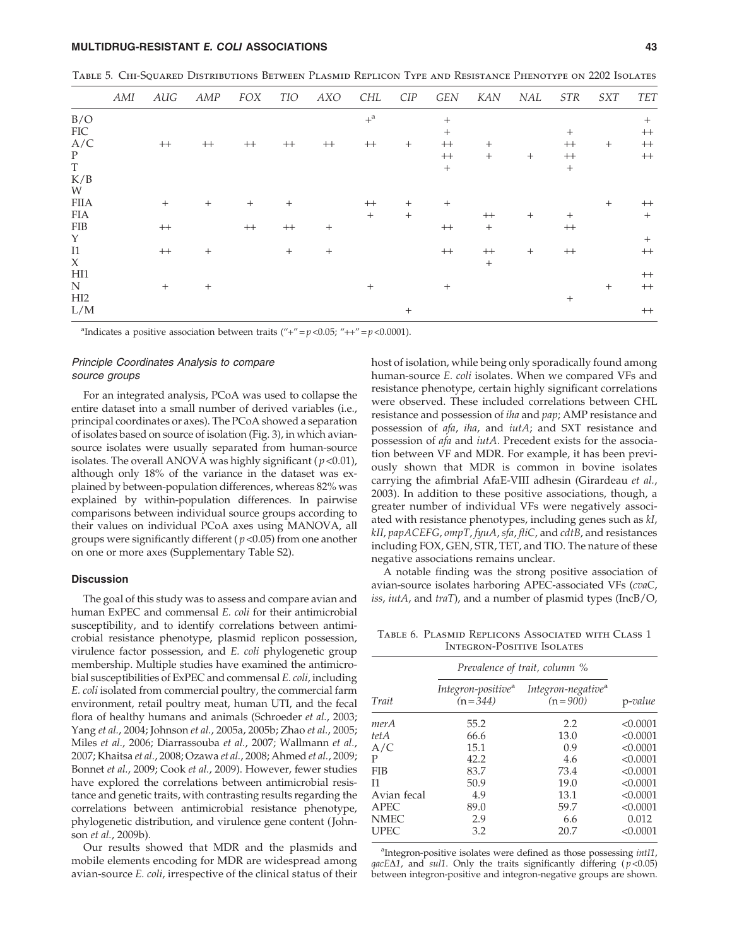# MULTIDRUG-RESISTANT E. COLI ASSOCIATIONS 43

| TABLE 5. CHI-SQUARED DISTRIBUTIONS BETWEEN PLASMID REPLICON TYPE AND RESISTANCE PHENOTYPE ON 2202 ISOLATES |  |
|------------------------------------------------------------------------------------------------------------|--|
|------------------------------------------------------------------------------------------------------------|--|

|             | AMI | AUG    | AMP         | FOX     | TIO         | AXO    | CHL              | CIP    | GEN     | KAN              | NAL    | STR       | SXT    | TET         |
|-------------|-----|--------|-------------|---------|-------------|--------|------------------|--------|---------|------------------|--------|-----------|--------|-------------|
| B/O         |     |        |             |         |             |        | $+$ <sup>a</sup> |        | $^{+}$  |                  |        |           |        | $^{+}$      |
| FIC         |     |        |             |         |             |        |                  |        | $^{+}$  |                  |        | $^{+}$    |        | $^{++}$     |
| A/C         |     | $++$   | $^{\rm ++}$ | $++$    | $^{++}$     | $++$   | $++$             | $^{+}$ | $^{++}$ | $^{+}$           |        | $++$      | $^{+}$ | $^{++}$     |
| ${\bf P}$   |     |        |             |         |             |        |                  |        | $^{++}$ | $^{+}$           | $^{+}$ | $^{++}\,$ |        | $^{\rm ++}$ |
| $\mathbf T$ |     |        |             |         |             |        |                  |        | $+$     |                  |        | $+$       |        |             |
| K/B         |     |        |             |         |             |        |                  |        |         |                  |        |           |        |             |
| W           |     |        |             |         |             |        |                  |        |         |                  |        |           |        |             |
| <b>FIIA</b> |     | $^{+}$ | $^{+}$      | $+$     | $^{+}$      |        | $++$             | $^{+}$ | $^{+}$  |                  |        |           | $^{+}$ | $++$        |
| FIA         |     |        |             |         |             |        | $^{+}$           | $^{+}$ |         | $++$             | $^{+}$ | $+$       |        | $^{+}$      |
| <b>FIB</b>  |     | $++$   |             | $^{++}$ | $^{\rm ++}$ | $^{+}$ |                  |        | $^{++}$ | $\boldsymbol{+}$ |        | $^{++}$   |        |             |
| Y           |     |        |             |         |             |        |                  |        |         |                  |        |           |        | $^{+}$      |
| I1          |     | $++$   | $^{+}$      |         | $^{+}$      | $^{+}$ |                  |        | $^{++}$ | $++$             | $^{+}$ | $^{++}$   |        | $^{\rm ++}$ |
| $\chi$      |     |        |             |         |             |        |                  |        |         | $+$              |        |           |        |             |
| H11         |     |        |             |         |             |        |                  |        |         |                  |        |           |        | $^{++}$     |
| N           |     | $^{+}$ | $^{+}$      |         |             |        | $^{+}$           |        | $^{+}$  |                  |        |           | $^{+}$ | $^{++}$     |
| HI2         |     |        |             |         |             |        |                  |        |         |                  |        | $^+$      |        |             |
| L/M         |     |        |             |         |             |        |                  | $^{+}$ |         |                  |        |           |        | $^{++}$     |

<sup>a</sup>Indicates a positive association between traits ("+" =  $p$  < 0.05; "++" =  $p$  < 0.0001).

# Principle Coordinates Analysis to compare source groups

For an integrated analysis, PCoA was used to collapse the entire dataset into a small number of derived variables (i.e., principal coordinates or axes). The PCoA showed a separation of isolates based on source of isolation (Fig. 3), in which aviansource isolates were usually separated from human-source isolates. The overall ANOVA was highly significant ( $p$  <0.01), although only 18% of the variance in the dataset was explained by between-population differences, whereas 82% was explained by within-population differences. In pairwise comparisons between individual source groups according to their values on individual PCoA axes using MANOVA, all groups were significantly different ( $p$  < 0.05) from one another on one or more axes (Supplementary Table S2).

## **Discussion**

The goal of this study was to assess and compare avian and human ExPEC and commensal E. coli for their antimicrobial susceptibility, and to identify correlations between antimicrobial resistance phenotype, plasmid replicon possession, virulence factor possession, and E. coli phylogenetic group membership. Multiple studies have examined the antimicrobial susceptibilities of ExPEC and commensal E. coli, including E. coli isolated from commercial poultry, the commercial farm environment, retail poultry meat, human UTI, and the fecal flora of healthy humans and animals (Schroeder et al., 2003; Yang et al., 2004; Johnson et al., 2005a, 2005b; Zhao et al., 2005; Miles et al., 2006; Diarrassouba et al., 2007; Wallmann et al., 2007; Khaitsa et al., 2008; Ozawa et al., 2008; Ahmed et al., 2009; Bonnet et al., 2009; Cook et al., 2009). However, fewer studies have explored the correlations between antimicrobial resistance and genetic traits, with contrasting results regarding the correlations between antimicrobial resistance phenotype, phylogenetic distribution, and virulence gene content ( Johnson et al., 2009b).

Our results showed that MDR and the plasmids and mobile elements encoding for MDR are widespread among avian-source E. coli, irrespective of the clinical status of their host of isolation, while being only sporadically found among human-source E. coli isolates. When we compared VFs and resistance phenotype, certain highly significant correlations were observed. These included correlations between CHL resistance and possession of iha and pap; AMP resistance and possession of afa, iha, and iutA; and SXT resistance and possession of *afa* and *iutA*. Precedent exists for the association between VF and MDR. For example, it has been previously shown that MDR is common in bovine isolates carrying the afimbrial AfaE-VIII adhesin (Girardeau et al., 2003). In addition to these positive associations, though, a greater number of individual VFs were negatively associated with resistance phenotypes, including genes such as kI, kII, papACEFG, ompT, fyuA, sfa, fliC, and cdtB, and resistances including FOX, GEN, STR, TET, and TIO. The nature of these negative associations remains unclear.

A notable finding was the strong positive association of avian-source isolates harboring APEC-associated VFs (cvaC, iss, iutA, and  $traT$ ), and a number of plasmid types (IncB/O,

Table 6. Plasmid Replicons Associated with Class 1 Integron-Positive Isolates

|             |                                             | Prevalence of trait, column %                 |          |
|-------------|---------------------------------------------|-----------------------------------------------|----------|
| Trait       | Integron-positive <sup>a</sup><br>$(n=344)$ | Integron-negative <sup>a</sup><br>$(n = 900)$ | p-value  |
| merA        | 55.2                                        | 2.2                                           | < 0.0001 |
| tet A       | 66.6                                        | 13.0                                          | < 0.0001 |
| A/C         | 15.1                                        | 0.9                                           | < 0.0001 |
| P           | 42.2                                        | 4.6                                           | < 0.0001 |
| <b>FIB</b>  | 83.7                                        | 73.4                                          | < 0.0001 |
| $_{11}$     | 50.9                                        | 19.0                                          | < 0.0001 |
| Avian fecal | 4.9                                         | 13.1                                          | < 0.0001 |
| <b>APEC</b> | 89.0                                        | 59.7                                          | < 0.0001 |
| <b>NMEC</b> | 2.9                                         | 6.6                                           | 0.012    |
| <b>UPEC</b> | 3.2                                         | 20.7                                          | < 0.0001 |

<sup>a</sup>Integron-positive isolates were defined as those possessing *intI1*,  $qacE\Delta1$ , and sul1. Only the traits significantly differing ( $p < 0.05$ ) between integron-positive and integron-negative groups are shown.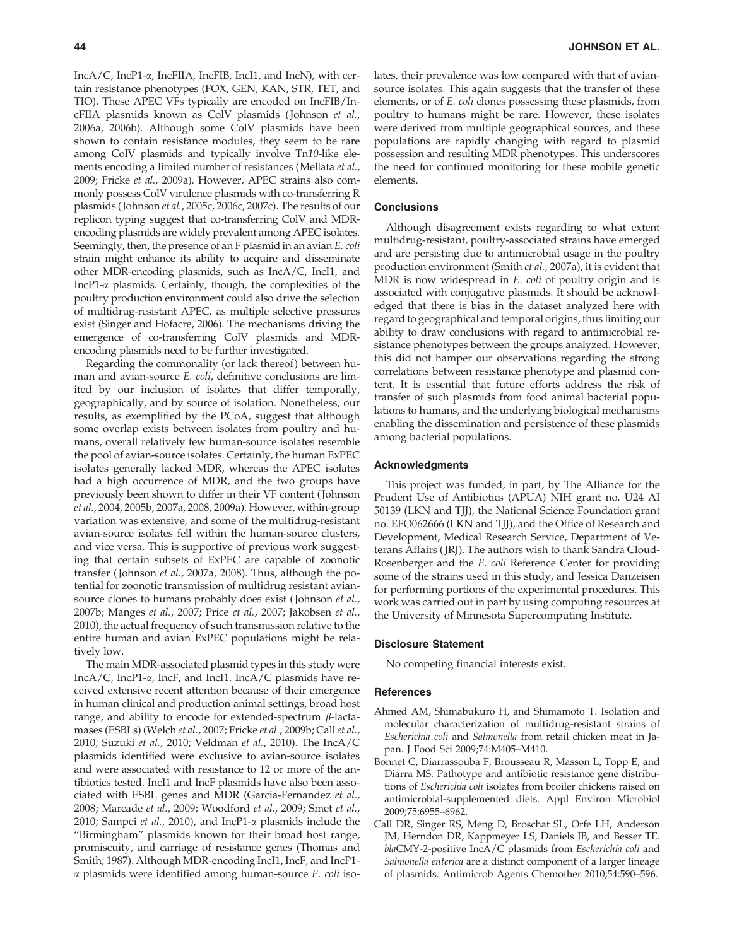IncA/C, IncP1-a, IncFIIA, IncFIB, IncI1, and IncN), with certain resistance phenotypes (FOX, GEN, KAN, STR, TET, and TIO). These APEC VFs typically are encoded on IncFIB/IncFIIA plasmids known as ColV plasmids ( Johnson et al., 2006a, 2006b). Although some ColV plasmids have been shown to contain resistance modules, they seem to be rare among ColV plasmids and typically involve Tn10-like elements encoding a limited number of resistances (Mellata et al., 2009; Fricke et al., 2009a). However, APEC strains also commonly possess ColV virulence plasmids with co-transferring R plasmids ( Johnson et al., 2005c, 2006c, 2007c). The results of our replicon typing suggest that co-transferring ColV and MDRencoding plasmids are widely prevalent among APEC isolates. Seemingly, then, the presence of an F plasmid in an avian E. coli strain might enhance its ability to acquire and disseminate other MDR-encoding plasmids, such as IncA/C, IncI1, and IncP1-a plasmids. Certainly, though, the complexities of the poultry production environment could also drive the selection of multidrug-resistant APEC, as multiple selective pressures exist (Singer and Hofacre, 2006). The mechanisms driving the emergence of co-transferring ColV plasmids and MDRencoding plasmids need to be further investigated.

Regarding the commonality (or lack thereof) between human and avian-source E. coli, definitive conclusions are limited by our inclusion of isolates that differ temporally, geographically, and by source of isolation. Nonetheless, our results, as exemplified by the PCoA, suggest that although some overlap exists between isolates from poultry and humans, overall relatively few human-source isolates resemble the pool of avian-source isolates. Certainly, the human ExPEC isolates generally lacked MDR, whereas the APEC isolates had a high occurrence of MDR, and the two groups have previously been shown to differ in their VF content ( Johnson et al., 2004, 2005b, 2007a, 2008, 2009a). However, within-group variation was extensive, and some of the multidrug-resistant avian-source isolates fell within the human-source clusters, and vice versa. This is supportive of previous work suggesting that certain subsets of ExPEC are capable of zoonotic transfer ( Johnson et al., 2007a, 2008). Thus, although the potential for zoonotic transmission of multidrug resistant aviansource clones to humans probably does exist (Johnson et al., 2007b; Manges et al., 2007; Price et al., 2007; Jakobsen et al., 2010), the actual frequency of such transmission relative to the entire human and avian ExPEC populations might be relatively low.

The main MDR-associated plasmid types in this study were IncA/C, IncP1-a, IncF, and IncI1. IncA/C plasmids have received extensive recent attention because of their emergence in human clinical and production animal settings, broad host range, and ability to encode for extended-spectrum  $\beta$ -lactamases (ESBLs) (Welch et al., 2007; Fricke et al., 2009b; Call et al., 2010; Suzuki et al., 2010; Veldman et al., 2010). The IncA/C plasmids identified were exclusive to avian-source isolates and were associated with resistance to 12 or more of the antibiotics tested. IncI1 and IncF plasmids have also been associated with ESBL genes and MDR (Garcia-Fernandez et al., 2008; Marcade et al., 2009; Woodford et al., 2009; Smet et al., 2010; Sampei et al., 2010), and IncP1- $\alpha$  plasmids include the ''Birmingham'' plasmids known for their broad host range, promiscuity, and carriage of resistance genes (Thomas and Smith, 1987). Although MDR-encoding IncI1, IncF, and IncP1-  $\alpha$  plasmids were identified among human-source  $E$ . *coli* isolates, their prevalence was low compared with that of aviansource isolates. This again suggests that the transfer of these elements, or of E. coli clones possessing these plasmids, from poultry to humans might be rare. However, these isolates were derived from multiple geographical sources, and these populations are rapidly changing with regard to plasmid possession and resulting MDR phenotypes. This underscores the need for continued monitoring for these mobile genetic elements.

## **Conclusions**

Although disagreement exists regarding to what extent multidrug-resistant, poultry-associated strains have emerged and are persisting due to antimicrobial usage in the poultry production environment (Smith et al., 2007a), it is evident that MDR is now widespread in *E. coli* of poultry origin and is associated with conjugative plasmids. It should be acknowledged that there is bias in the dataset analyzed here with regard to geographical and temporal origins, thus limiting our ability to draw conclusions with regard to antimicrobial resistance phenotypes between the groups analyzed. However, this did not hamper our observations regarding the strong correlations between resistance phenotype and plasmid content. It is essential that future efforts address the risk of transfer of such plasmids from food animal bacterial populations to humans, and the underlying biological mechanisms enabling the dissemination and persistence of these plasmids among bacterial populations.

#### Acknowledgments

This project was funded, in part, by The Alliance for the Prudent Use of Antibiotics (APUA) NIH grant no. U24 AI 50139 (LKN and TJJ), the National Science Foundation grant no. EFO062666 (LKN and TJJ), and the Office of Research and Development, Medical Research Service, Department of Veterans Affairs ( JRJ). The authors wish to thank Sandra Cloud-Rosenberger and the E. coli Reference Center for providing some of the strains used in this study, and Jessica Danzeisen for performing portions of the experimental procedures. This work was carried out in part by using computing resources at the University of Minnesota Supercomputing Institute.

# Disclosure Statement

No competing financial interests exist.

#### References

- Ahmed AM, Shimabukuro H, and Shimamoto T. Isolation and molecular characterization of multidrug-resistant strains of Escherichia coli and Salmonella from retail chicken meat in Japan. J Food Sci 2009;74:M405–M410.
- Bonnet C, Diarrassouba F, Brousseau R, Masson L, Topp E, and Diarra MS. Pathotype and antibiotic resistance gene distributions of Escherichia coli isolates from broiler chickens raised on antimicrobial-supplemented diets. Appl Environ Microbiol 2009;75:6955–6962.
- Call DR, Singer RS, Meng D, Broschat SL, Orfe LH, Anderson JM, Herndon DR, Kappmeyer LS, Daniels JB, and Besser TE. blaCMY-2-positive IncA/C plasmids from Escherichia coli and Salmonella enterica are a distinct component of a larger lineage of plasmids. Antimicrob Agents Chemother 2010;54:590–596.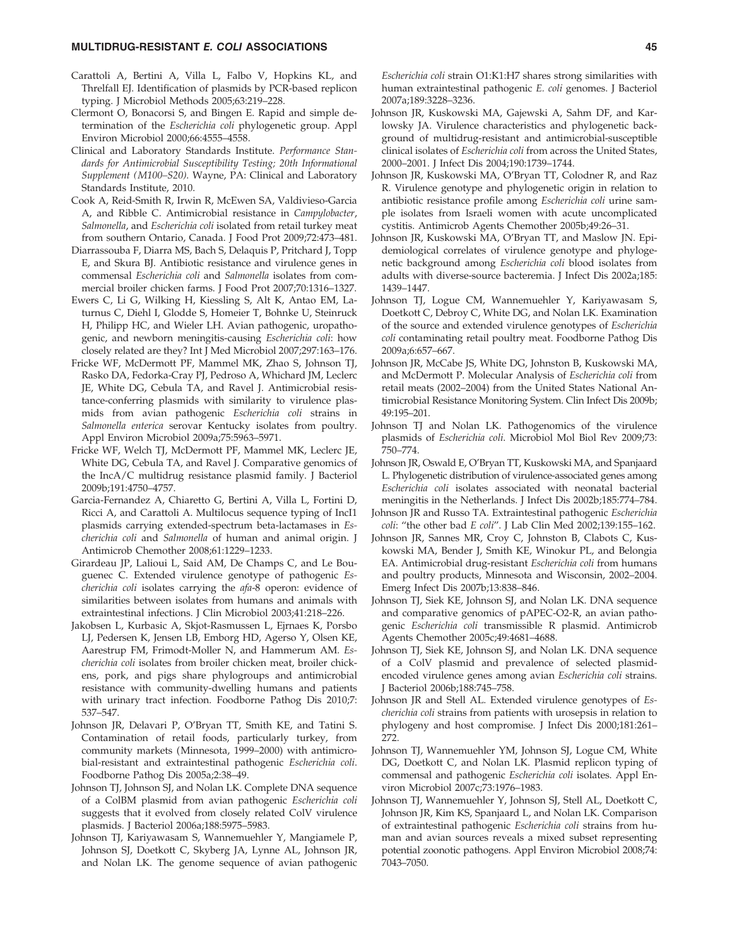### MULTIDRUG-RESISTANT E. COLI ASSOCIATIONS 45

- Carattoli A, Bertini A, Villa L, Falbo V, Hopkins KL, and Threlfall EJ. Identification of plasmids by PCR-based replicon typing. J Microbiol Methods 2005;63:219–228.
- Clermont O, Bonacorsi S, and Bingen E. Rapid and simple determination of the Escherichia coli phylogenetic group. Appl Environ Microbiol 2000;66:4555–4558.
- Clinical and Laboratory Standards Institute. Performance Standards for Antimicrobial Susceptibility Testing; 20th Informational Supplement (M100–S20). Wayne, PA: Clinical and Laboratory Standards Institute, 2010.
- Cook A, Reid-Smith R, Irwin R, McEwen SA, Valdivieso-Garcia A, and Ribble C. Antimicrobial resistance in Campylobacter, Salmonella, and Escherichia coli isolated from retail turkey meat from southern Ontario, Canada. J Food Prot 2009;72:473–481.
- Diarrassouba F, Diarra MS, Bach S, Delaquis P, Pritchard J, Topp E, and Skura BJ. Antibiotic resistance and virulence genes in commensal Escherichia coli and Salmonella isolates from commercial broiler chicken farms. J Food Prot 2007;70:1316–1327.
- Ewers C, Li G, Wilking H, Kiessling S, Alt K, Antao EM, Laturnus C, Diehl I, Glodde S, Homeier T, Bohnke U, Steinruck H, Philipp HC, and Wieler LH. Avian pathogenic, uropathogenic, and newborn meningitis-causing Escherichia coli: how closely related are they? Int J Med Microbiol 2007;297:163–176.
- Fricke WF, McDermott PF, Mammel MK, Zhao S, Johnson TJ, Rasko DA, Fedorka-Cray PJ, Pedroso A, Whichard JM, Leclerc JE, White DG, Cebula TA, and Ravel J. Antimicrobial resistance-conferring plasmids with similarity to virulence plasmids from avian pathogenic Escherichia coli strains in Salmonella enterica serovar Kentucky isolates from poultry. Appl Environ Microbiol 2009a;75:5963–5971.
- Fricke WF, Welch TJ, McDermott PF, Mammel MK, Leclerc JE, White DG, Cebula TA, and Ravel J. Comparative genomics of the IncA/C multidrug resistance plasmid family. J Bacteriol 2009b;191:4750–4757.
- Garcia-Fernandez A, Chiaretto G, Bertini A, Villa L, Fortini D, Ricci A, and Carattoli A. Multilocus sequence typing of IncI1 plasmids carrying extended-spectrum beta-lactamases in Escherichia coli and Salmonella of human and animal origin. J Antimicrob Chemother 2008;61:1229–1233.
- Girardeau JP, Lalioui L, Said AM, De Champs C, and Le Bouguenec C. Extended virulence genotype of pathogenic Escherichia coli isolates carrying the afa-8 operon: evidence of similarities between isolates from humans and animals with extraintestinal infections. J Clin Microbiol 2003;41:218–226.
- Jakobsen L, Kurbasic A, Skjot-Rasmussen L, Ejrnaes K, Porsbo LJ, Pedersen K, Jensen LB, Emborg HD, Agerso Y, Olsen KE, Aarestrup FM, Frimodt-Moller N, and Hammerum AM. Escherichia coli isolates from broiler chicken meat, broiler chickens, pork, and pigs share phylogroups and antimicrobial resistance with community-dwelling humans and patients with urinary tract infection. Foodborne Pathog Dis 2010;7: 537–547.
- Johnson JR, Delavari P, O'Bryan TT, Smith KE, and Tatini S. Contamination of retail foods, particularly turkey, from community markets (Minnesota, 1999–2000) with antimicrobial-resistant and extraintestinal pathogenic Escherichia coli. Foodborne Pathog Dis 2005a;2:38–49.
- Johnson TJ, Johnson SJ, and Nolan LK. Complete DNA sequence of a ColBM plasmid from avian pathogenic Escherichia coli suggests that it evolved from closely related ColV virulence plasmids. J Bacteriol 2006a;188:5975–5983.
- Johnson TJ, Kariyawasam S, Wannemuehler Y, Mangiamele P, Johnson SJ, Doetkott C, Skyberg JA, Lynne AL, Johnson JR, and Nolan LK. The genome sequence of avian pathogenic

Escherichia coli strain O1:K1:H7 shares strong similarities with human extraintestinal pathogenic E. coli genomes. J Bacteriol 2007a;189:3228–3236.

- Johnson JR, Kuskowski MA, Gajewski A, Sahm DF, and Karlowsky JA. Virulence characteristics and phylogenetic background of multidrug-resistant and antimicrobial-susceptible clinical isolates of Escherichia coli from across the United States, 2000–2001. J Infect Dis 2004;190:1739–1744.
- Johnson JR, Kuskowski MA, O'Bryan TT, Colodner R, and Raz R. Virulence genotype and phylogenetic origin in relation to antibiotic resistance profile among Escherichia coli urine sample isolates from Israeli women with acute uncomplicated cystitis. Antimicrob Agents Chemother 2005b;49:26–31.
- Johnson JR, Kuskowski MA, O'Bryan TT, and Maslow JN. Epidemiological correlates of virulence genotype and phylogenetic background among Escherichia coli blood isolates from adults with diverse-source bacteremia. J Infect Dis 2002a;185: 1439–1447.
- Johnson TJ, Logue CM, Wannemuehler Y, Kariyawasam S, Doetkott C, Debroy C, White DG, and Nolan LK. Examination of the source and extended virulence genotypes of Escherichia coli contaminating retail poultry meat. Foodborne Pathog Dis 2009a;6:657–667.
- Johnson JR, McCabe JS, White DG, Johnston B, Kuskowski MA, and McDermott P. Molecular Analysis of Escherichia coli from retail meats (2002–2004) from the United States National Antimicrobial Resistance Monitoring System. Clin Infect Dis 2009b; 49:195–201.
- Johnson TJ and Nolan LK. Pathogenomics of the virulence plasmids of Escherichia coli. Microbiol Mol Biol Rev 2009;73: 750–774.
- Johnson JR, Oswald E, O'Bryan TT, Kuskowski MA, and Spanjaard L. Phylogenetic distribution of virulence-associated genes among Escherichia coli isolates associated with neonatal bacterial meningitis in the Netherlands. J Infect Dis 2002b;185:774–784.
- Johnson JR and Russo TA. Extraintestinal pathogenic Escherichia coli: ''the other bad E coli''. J Lab Clin Med 2002;139:155–162.
- Johnson JR, Sannes MR, Croy C, Johnston B, Clabots C, Kuskowski MA, Bender J, Smith KE, Winokur PL, and Belongia EA. Antimicrobial drug-resistant Escherichia coli from humans and poultry products, Minnesota and Wisconsin, 2002–2004. Emerg Infect Dis 2007b;13:838–846.
- Johnson TJ, Siek KE, Johnson SJ, and Nolan LK. DNA sequence and comparative genomics of pAPEC-O2-R, an avian pathogenic Escherichia coli transmissible R plasmid. Antimicrob Agents Chemother 2005c;49:4681–4688.
- Johnson TJ, Siek KE, Johnson SJ, and Nolan LK. DNA sequence of a ColV plasmid and prevalence of selected plasmidencoded virulence genes among avian Escherichia coli strains. J Bacteriol 2006b;188:745–758.
- Johnson JR and Stell AL. Extended virulence genotypes of Escherichia coli strains from patients with urosepsis in relation to phylogeny and host compromise. J Infect Dis 2000;181:261– 272.
- Johnson TJ, Wannemuehler YM, Johnson SJ, Logue CM, White DG, Doetkott C, and Nolan LK. Plasmid replicon typing of commensal and pathogenic Escherichia coli isolates. Appl Environ Microbiol 2007c;73:1976–1983.
- Johnson TJ, Wannemuehler Y, Johnson SJ, Stell AL, Doetkott C, Johnson JR, Kim KS, Spanjaard L, and Nolan LK. Comparison of extraintestinal pathogenic Escherichia coli strains from human and avian sources reveals a mixed subset representing potential zoonotic pathogens. Appl Environ Microbiol 2008;74: 7043–7050.